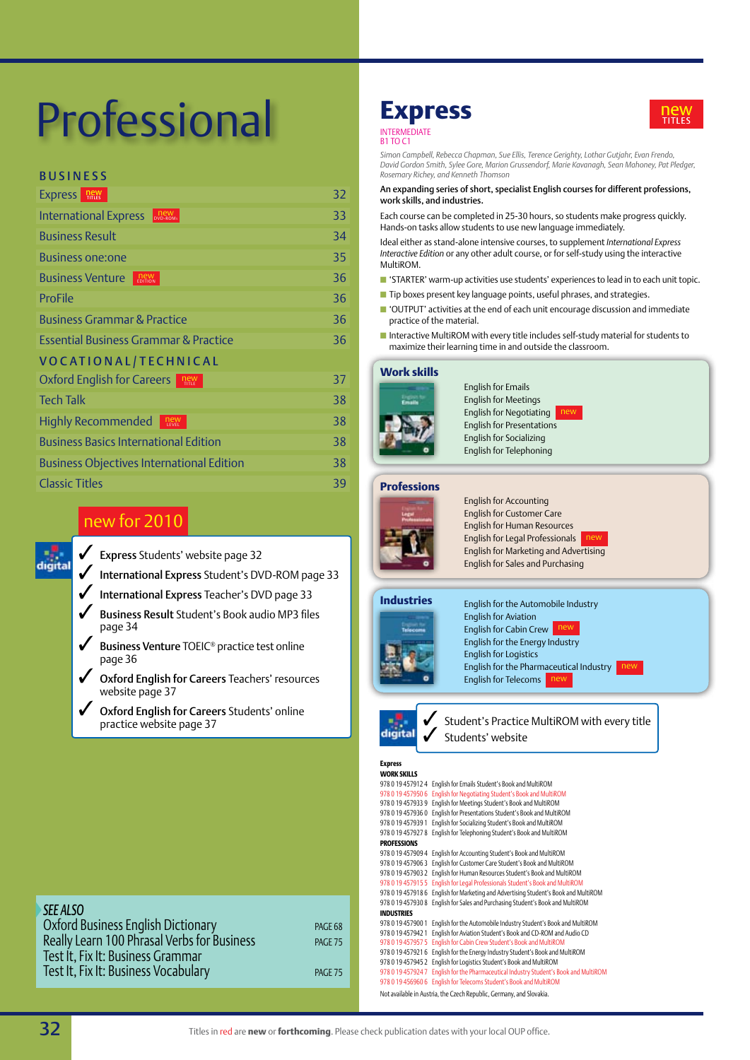# Professional

## BUSINESS

| <b>Express</b><br><b>new</b><br>TITLES                 | 32 |  |
|--------------------------------------------------------|----|--|
| <b>New</b><br>DVD-ROMs<br><b>International Express</b> | 33 |  |
| <b>Business Result</b>                                 | 34 |  |
| <b>Business one:one</b>                                | 35 |  |
| <b>Business Venture</b><br><b>new</b><br>EDITION       | 36 |  |
| ProFile                                                | 36 |  |
| <b>Business Grammar &amp; Practice</b>                 | 36 |  |
| <b>Essential Business Grammar &amp; Practice</b>       | 36 |  |
| VOCATIONAL/TECHNICAL                                   |    |  |
| Oxford English for Careers<br>$n_{\text{HIE}}$         | 37 |  |
| <b>Tech Talk</b>                                       | 38 |  |
| Highly Recommended<br>new<br>LEVEL                     | 38 |  |
| <b>Business Basics International Edition</b>           | 38 |  |
| <b>Business Objectives International Edition</b>       | 38 |  |
| <b>Classic Titles</b>                                  | 39 |  |
|                                                        |    |  |

## new for 2010

- $\checkmark$  Express Students' website page 32
- 3 International Express Student's DVD-ROM page 33
- 3 International Express Teacher's DVD page 33
- 3 Business Result Student's Book audio MP3 files page 34
- 3 Business Venture TOEIC*®* practice test online page 36
- Oxford English for Careers Teachers' resources website page 37
- Oxford English for Careers Students' online<br>practice website page 37

## **Express INTERMEDIAT**

**B1 TO C1** 



*Simon Campbell, Rebecca Chapman, Sue Ellis, Terence Gerighty, Lothar Gutjahr, Evan Frendo, David Gordon Smith, Sylee Gore, Marion Grussendorf, Marie Kavanagh, Sean Mahoney, Pat Pledger, Rosemary Richey, and Kenneth Thomson* 

## An expanding series of short, specialist English courses for different professions, work skills, and industries.

Each course can be completed in 25-30 hours, so students make progress quickly. Hands-on tasks allow students to use new language immediately.

Ideal either as stand-alone intensive courses, to supplement *International Express Interactive Edition* or any other adult course, or for self-study using the interactive MultiROM.

- $\blacksquare$  'STARTER' warm-up activities use students' experiences to lead in to each unit topic.
- $\blacksquare$  Tip boxes present key language points, useful phrases, and strategies.
- 'OUTPUT' activities at the end of each unit encourage discussion and immediate practice of the material.
- Interactive MultiROM with every title includes self-study material for students to maximize their learning time in and outside the classroom.

## **Work skills**



English for Emails English for Meetings English for Negotiating English for Presentations English for Socializing English for Telephoning

## **Professions**



English for Accounting English for Customer Care English for Human Resources English for Legal Professionals English for Marketing and Advertising English for Sales and Purchasing

## **Industries**



English for the Automobile Industry English for Aviation English for Cabin Crew English for the Energy Industry English for Logistics English for the Pharmaceutical Industry English for Telecoms new



**practice WultiROM with every title digital**  $\bigvee$  Students' website Students' website

## **Express**

| WORK SKILLS        |                                                                      |
|--------------------|----------------------------------------------------------------------|
| 978 0 19 457912 4  | English for Emails Student's Book and MultiROM                       |
| 978 0 19 457950 6  | English for Negotiating Student's Book and MultiROM                  |
| 978 0 19 457933 9  | English for Meetings Student's Book and MultiROM                     |
| 978 0 19 4579360   | English for Presentations Student's Book and MultiROM                |
| 978 0 19 457939 1  | English for Socializing Student's Book and MultiROM                  |
| 978 0 19 457927 8  | English for Telephoning Student's Book and MultiROM                  |
| <b>PROFESSIONS</b> |                                                                      |
| 978 0 19 457909 4  | English for Accounting Student's Book and MultiROM                   |
| 978 0 19 457906 3  | English for Customer Care Student's Book and MultiROM                |
| 978 0 19 457903 2  | English for Human Resources Student's Book and MultiROM              |
| 978 0 19 457915 5  | English for Legal Professionals Student's Book and MultiROM          |
| 9780194579186      | English for Marketing and Advertising Student's Book and MultiROM    |
| 9780194579308      | English for Sales and Purchasing Student's Book and MultiROM         |
| <b>INDUSTRIES</b>  |                                                                      |
| 978 0 19 457900 1  | English for the Automobile Industry Student's Book and MultiROM      |
| 978 0 19 457942 1  | English for Aviation Student's Book and CD-ROM and Audio CD          |
| 978 0 19 457957 5  | English for Cabin Crew Student's Book and MultiROM                   |
| 978 0 19 4579216   | English for the Energy Industry Student's Book and MultiROM          |
| 978 0 19 457945 2  | English for Logistics Student's Book and MultiROM                    |
| 978 0 19 4579247   | English for the Pharmaceutical Industry Student's Book and MultiROM  |
| 978 0 19 456960 6  | English for Telecoms Student's Book and MultiROM                     |
|                    | Not available in Austria, the Czech Republic, Germany, and Slovakia. |



| <b>SEE ALSO</b>                             |         |
|---------------------------------------------|---------|
| Oxford Business English Dictionary          | PAGE 68 |
| Really Learn 100 Phrasal Verbs for Business | PAGE 75 |
| Test It, Fix It: Business Grammar           |         |
| Test It, Fix It: Business Vocabulary        | PAGE 75 |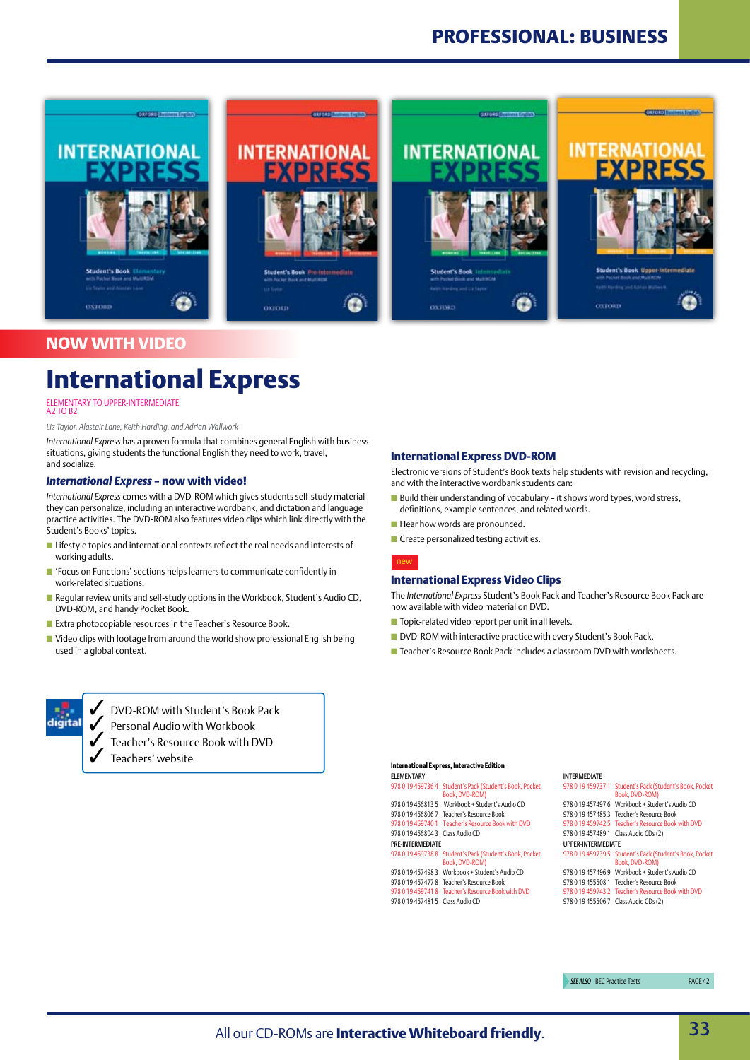

## **NOW WITH VIDEO**

## **International Express**

## ELEMENTARY TO UPPER-INTERMEDIAT<br>A2 TO B2

### *Liz Taylor, Alastair Lane, Keith Harding, and Adrian Wallwork*

*International Express* has a proven formula that combines general English with business situations, giving students the functional English they need to work, travel, and socialize.

### *International Express* **– now with video!**

*International Express* comes with a DVD-ROM which gives students self-study material they can personalize, including an interactive wordbank, and dictation and language practice activities. The DVD-ROM also features video clips which link directly with the Student's Books' topics.

- $\blacksquare$  Lifestyle topics and international contexts reflect the real needs and interests of working adults.
- 'Focus on Functions' sections helps learners to communicate confidently in work-related situations.
- $\blacksquare$  Regular review units and self-study options in the Workbook, Student's Audio CD, DVD-ROM, and handy Pocket Book.
- Extra photocopiable resources in the Teacher's Resource Book.
- $\blacksquare$  Video clips with footage from around the world show professional English being used in a global context.



Electronic versions of Student's Book texts help students with revision and recycling, and with the interactive wordbank students can:

- Build their understanding of vocabulary it shows word types, word stress, definitions, example sentences, and related words.
- $\blacksquare$  Hear how words are pronounced.
- **n** Create personalized testing activities.



## **International Express Video Clips**

The *International Express* Student's Book Pack and Teacher's Resource Book Pack are now available with video material on DVD.

- $\blacksquare$  Topic-related video report per unit in all levels.
- DVD-ROM with interactive practice with every Student's Book Pack.
- **n** Teacher's Resource Book Pack includes a classroom DVD with worksheets.



3 DVD-ROM with Student's Book Pack

- 3 Personal Audio with Workbook
- 3 Teacher's Resource Book with DVD
- Teachers' website

#### **International Express, Interactive Edition** Elementary

978 0 19 459736 4 Student's Pack (Student's Book, Pocket Book, DVD-ROM 978 0 19 456813 5 Workbook + Student's Audio CD 978 0 19 456806 7 Teacher's Resource Book 978 0 19 459740 1 Teacher's Resource Book with DVD 978 0 19 456804 3 Class Audio CD Pre-Intermediate 978 0 19 459738 8 Student's Pack (Student's Book, Pocket Book, DVD-ROM) 978 0 19 457498 3 Workbook + Student's Audio CD 978 0 19 457477 8 Teacher's Resource Book 978 0 19 459741 8 Teacher's Resource Book with DVD 978 0 19 457481 5 Class Audio CD

### Intermediate

|                           | 978 0 19 459737 1 Student's Pack (Student's Book, Pocket                   |  |  |
|---------------------------|----------------------------------------------------------------------------|--|--|
|                           | Book, DVD-ROM)                                                             |  |  |
|                           | 978 0 19 457497 6 Workbook + Student's Audio CD                            |  |  |
|                           | 978 0 19 457485 3 Teacher's Resource Book                                  |  |  |
|                           | 978 0 19 459742 5 Teacher's Resource Book with DVD                         |  |  |
|                           | 978 0 19 457489 1 Class Audio CDs (2)                                      |  |  |
| <b>UPPER-INTERMEDIATE</b> |                                                                            |  |  |
|                           | 978 0 19 459739 5 Student's Pack (Student's Book, Pocket<br>Book, DVD-ROM) |  |  |
|                           | 978 0 19 457496 9 Workbook + Student's Audio CD                            |  |  |
|                           | 978 0 19 455508 1 Teacher's Resource Book                                  |  |  |
|                           | 978 0 19 459743 2 Teacher's Resource Book with DVD                         |  |  |
|                           | 978 0 19 455506 7 Class Audio CDs (2)                                      |  |  |
|                           |                                                                            |  |  |

**SEE ALSO BEC Practice Tests PAGE 42**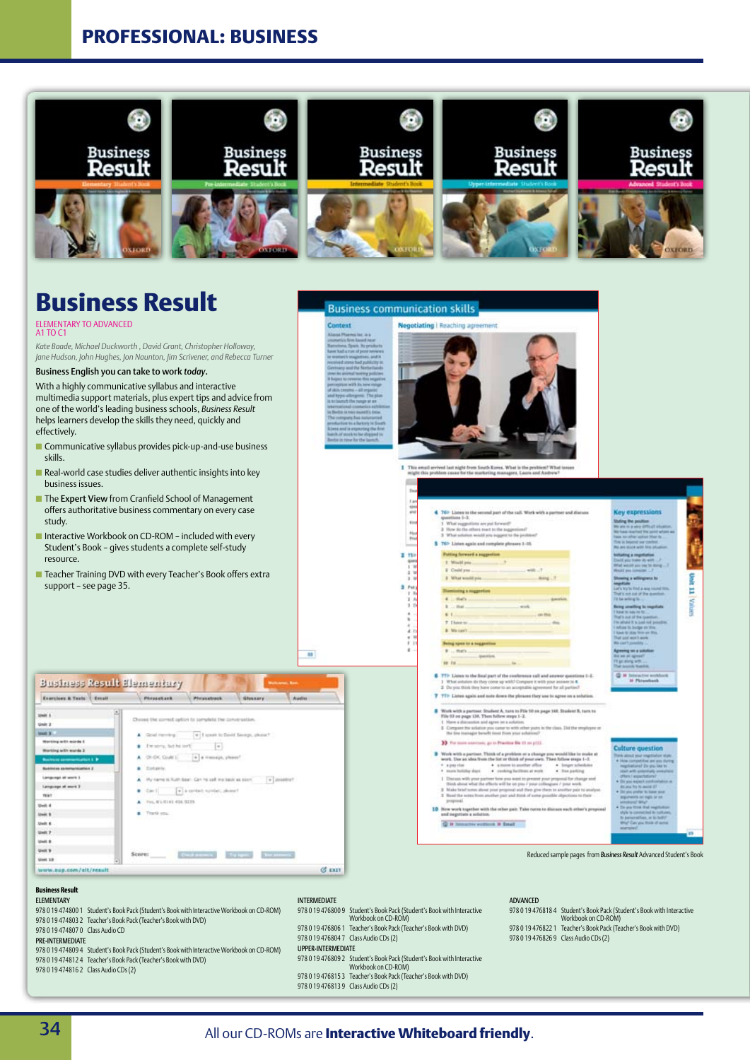## **Professional: Business**



## **Business Result**

## elementary to advanced a1 To c1

*Kate Baade, Michael Duckworth , David Grant, Christopher Holloway, Jane Hudson, John Hughes, Jon Naunton, Jim Scrivener, and Rebecca Turner* 

## Business English you can take to work *today*.

With a highly communicative syllabus and interactive multimedia support materials, plus expert tips and advice from one of the world's leading business schools, *Business Result* helps learners develop the skills they need, quickly and effectively.

- $\blacksquare$  Communicative syllabus provides pick-up-and-use business skills.
- $\blacksquare$  Real-world case studies deliver authentic insights into key business issues.
- The Expert View from Cranfield School of Management offers authoritative business commentary on every case study.
- Interactive Workbook on CD-ROM included with every Student's Book – gives students a complete self-study resource.
- Teacher Training DVD with every Teacher's Book offers extra support – see page 35.









Seing speech a suggestion mex parties

# Mezert

**BE FALL** 

m

- the state of the state of .<br>1. What solution do theal part of the conference call and anyway question of the solution do they come up with? Company it with your instead in 4.<br>2. Do you think they have come to an acceptable agreement for all parties
- 7 TTP Liens again and note down the pleases they use to agree on a soluti
- **B** Work with a partner. Studied A, turn to Pile 50 on page 148. Student B, turn to Win 51 on more 138. Then follow steep 1-3. 1. Have a discussion and agree on a solution.<br>2. Ourquest the schiene goe came to with other pairs in the class. Det the<br>3. The line inanager benefit most from your schatune?

### 33 For some execuses, go to Practice Sie 11 on of 12

- $\begin{tabular}{ll} \textbf{B} & \textbf{W} with a point of a partition of a partition of a change you would like to make at the same, then the limit of what is a value of the time. The following result is a given by the number of the number of the input is the number of the time is not always the sum.} & \textbf{A} & \textbf{long} & \textbf{unitary} \\ & \textbf{A} & \textbf{true} & \textbf{true} & \textbf{true} & \textbf{true} \\ \end{tabular}$ Final mass with proof partner from pun initial to present proof properties of the planar and the change and in the effects with the company of punction of the state of the change and  $T$  is the best notes about prior prop
- **ID** New work together with the other gain. Take nerm to dis and negotiate a solution.
- Q is himselve working in Email

Reduced sample pages from *Business Result* Advanced Student's Book

ig the p

**Technology** 

TT 3PR

wainer

## **Business Result**

| ELEMENTARY.                      |                                                                                            |
|----------------------------------|--------------------------------------------------------------------------------------------|
|                                  | 978 0 19 474800 1 Student's Book Pack (Student's Book with Interactive Workbook on CD-ROM) |
|                                  | 978 0 19 474803 2 Teacher's Book Pack (Teacher's Book with DVD)                            |
| 978 0 19 474807 0 Class Audio CD |                                                                                            |

#### Pre-Intermediate

978 0 19 474809 4 Student's Book Pack (Student's Book with Interactive Workbook on CD-ROM) 978 0 19 474812 4 Teacher's Book Pack (Teacher's Book with DVD) 978 0 19 474816 2 Class Audio CDs (2)

#### 978 0 19 476806 1 Teacher's Book Pack (Teacher's Book with DVD) 978 0 19 476804 7 Class Audio CDs (2) Upper-Intermediate

978 0 19 476800 9 Student's Book Pack (Student's Book with Interactive Workbook on CD-ROM)

Intermediate

- 978 0 19 476809 2 Student's Book Pack (Student's Book with Interactive
- Workbook on CD-ROM)
- 978 0 19 476815 3 Teacher's Book Pack (Teacher's Book with DVD) 978 0 19 476813 9 Class Audio CDs (2)
- 

### ADVANCED

978 0 19 476818 4 Student's Book Pack (Student's Book with Interactive Workbook on CD-ROM) 978 0 19 476822 1 Teacher's Book Pack (Teacher's Book with DVD)

978 0 19 476826 9 Class Audio CDs (2)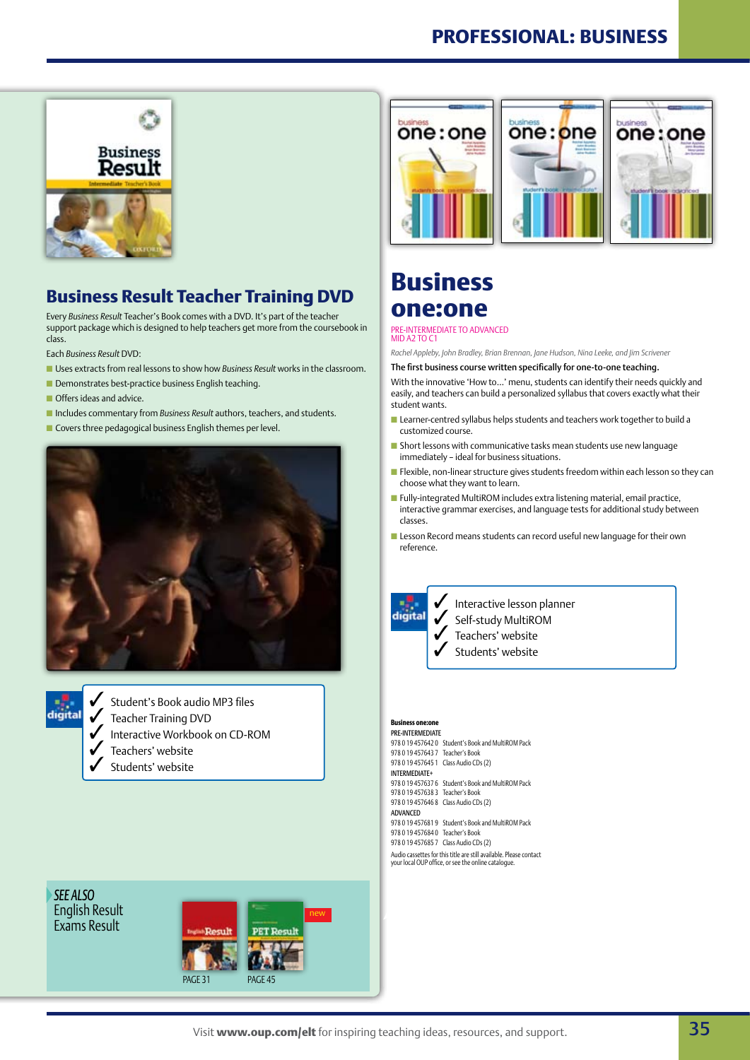## **Professional: business**



## **Business Result Teacher Training DVD**

Every *Business Result* Teacher's Book comes with a DVD. It's part of the teacher support package which is designed to help teachers get more from the coursebook in class.

Each *Business Result* DVD:

- **n** Uses extracts from real lessons to show how *Business Result* works in the classroom.
- $\blacksquare$  Demonstrates best-practice business English teaching.
- $\blacksquare$  Offers ideas and advice.
- **n** Includes commentary from *Business Result* authors, teachers, and students.
- $\blacksquare$  Covers three pedagogical business English themes per level.





3 Student's Book audio MP3 files

- **3** Teacher Training DVD<br>Interactive Workhook
	- Interactive Workbook on CD-ROM
- Teachers' website
- Students' website



## **Business one:one**

## pre-Intermediate to advanced Mid A2 to c1

*Rachel Appleby, John Bradley, Brian Brennan, Jane Hudson, Nina Leeke, and Jim Scrivener*

The first business course written specifically for one-to-one teaching.

With the innovative 'How to…' menu, students can identify their needs quickly and easily, and teachers can build a personalized syllabus that covers exactly what their student wants.

- Learner-centred syllabus helps students and teachers work together to build a customized course.
- $\blacksquare$  Short lessons with communicative tasks mean students use new language immediately – ideal for business situations.
- $\blacksquare$  Flexible, non-linear structure gives students freedom within each lesson so they can choose what they want to learn.
- $\blacksquare$  Fully-integrated MultiROM includes extra listening material, email practice, interactive grammar exercises, and language tests for additional study between classes.
- $\blacksquare$  Lesson Record means students can record useful new language for their own reference.

digital

Interactive lesson planner

Self-study MultiROM

Teachers' website Students' website

## **Business one:**

Pre-Intermediate 978 0 19 457642 0 Student's Book and MultiROM Pack 978 0 19 457643 7 Teacher's Book 978 0 19 457645 1 Class Audio CDs (2) Intermediate+ 978 0 19 457637 6 Student's Book and MultiROM Pack 978 0 19 457638 3 Teacher's Book 978 0 19 457646 8 Class Audio CDs (2) Advanced 978 0 19 457681 9 Student's Book and MultiROM Pack 978 0 19 457684 0 Teacher's Book 978 0 19 457685 7 Class Audio CDs (2) Audio cassettes for this title are still available. Please contact your local OUP office, or see the online catalogue.

*See also* English Result Exams Result

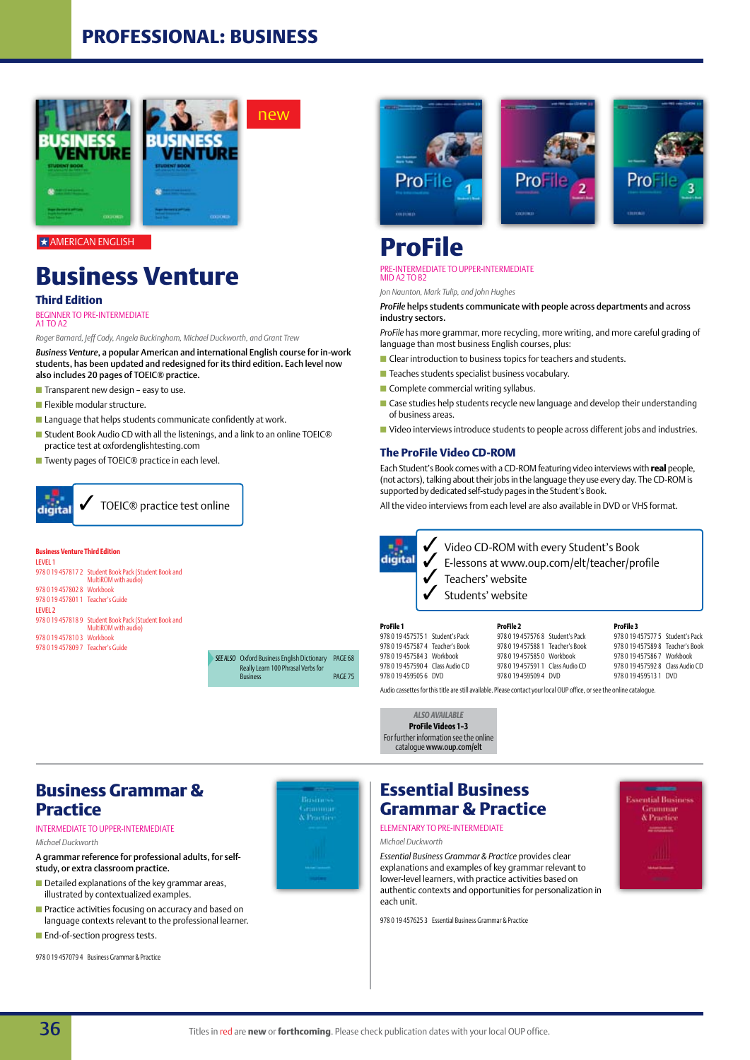## **Professional: business**



AMERICAN ENGLISH

## **Business Venture**

## **Third Edition**

#### beginner to Pre-intermediate  $A1$  TO  $A2$

*Roger Barnard, Jeff Cady, Angela Buckingham, Michael Duckworth, and Grant Trew*

*Business Venture*, a popular American and international English course for in-work students, has been updated and redesigned for its third edition. Each level now also includes 20 pages of TOEIC® practice.

- $\blacksquare$  Transparent new design easy to use.
- $\blacksquare$  Flexible modular structure.
- $\blacksquare$  Language that helps students communicate confidently at work.
- Student Book Audio CD with all the listenings, and a link to an online TOEIC® practice test at oxfordenglishtesting.com
- Twenty pages of TOEIC<sup>®</sup> practice in each level.



### **Business Venture Third Edition**

Level 1 978 0 19 457817 2 Student Book Pack (Student Book and MultiROM with audio) 978 0 19 457802 8 Workbook 978 0 19 457801 1 Teacher's Guide LEVEL 2 978 0 19 457818 9 Student Book Pack (Student Book and MultiROM with audio) 978 0 19 457810 3 Workbook 978 0 19 457809 7 Teacher's Guide

**SEE ALSO** Oxford Business English Dictionary PAGE 68 Really Learn 100 Phrasal Verbs for Business page 1967 museum verbs for the PAGE 75



## **ProFile** Pre-intermediate to upper-intermediate

## MID A2 TO B2

*Jon Naunton, Mark Tulip, and John Hughes*

### *ProFile* helps students communicate with people across departments and across industry sectors.

*ProFile* has more grammar, more recycling, more writing, and more careful grading of language than most business English courses, plus:

- $\blacksquare$  Clear introduction to business topics for teachers and students.
- $\blacksquare$  Teaches students specialist business vocabulary.
- $\blacksquare$  Complete commercial writing syllabus.
- $\blacksquare$  Case studies help students recycle new language and develop their understanding of business areas.
- Video interviews introduce students to people across different jobs and industries.

## **The ProFile Video CD-ROM**

Each Student's Book comes with a CD-ROM featuring video interviews with **real** people, (not actors), talking about their jobs in the language they use every day. The CD-ROM is supported by dedicated self-study pages in the Student's Book.

All the video interviews from each level are also available in DVD or VHS format.

an<mark>.</mark><br>digital

3 Video CD-ROM with every Student's Book 3 E-lessons at www.oup.com/elt/teacher/profile

Teachers' website Students' website

**ProFile 1** 978 0 19 457575 1 Student's Pack 978 0 19 457587 4 Teacher's Book 978 0 19 457584 3 Workbook 978 0 19 457590 4 Class Audio CD 978 0 19 459505 6 DVD

**ProFile 2** 978 0 19 457576 8 Student's Pack 978 0 19 457588 1 Teacher's Book 978 0 19 457585 0 Workbook 978 0 19 457591 1 Class Audio CD 978 0 19 459509 4 DVD

**ProFile 3** 978 0 19 457577 5 Student's Pack 978 0 19 457589 8 Teacher's Book 978 0 19 457586 7 Workbook 978 0 19 457592 8 Class Audio CD 978 0 19 459513 1 DVD

Audio cassettes for this title are still available. Please contact your local OUP office, or see the online catalogue.

*Also available* **ProFile Videos 1–3** For further information see the online catalogue www.oup.com/elt

## **Business Grammar & Practice**

### Intermediate to upper-intermediate *Michael Duckworth*

A grammar reference for professional adults, for selfstudy, or extra classroom practice.

- $\blacksquare$  Detailed explanations of the key grammar areas, illustrated by contextualized examples.
- $\blacksquare$  Practice activities focusing on accuracy and based on language contexts relevant to the professional learner.
- **n** End-of-section progress tests.

978 0 19 457079 4 Business Grammar & Practice



## **Essential Business Grammar & Practice** elementary to pre-Intermediate

*Michael Duckworth*

*Essential Business Grammar & Practice* provides clear explanations and examples of key grammar relevant to lower-level learners, with practice activities based on authentic contexts and opportunities for personalization in each unit.

978 0 19 457625 3 Essential Business Grammar & Practice

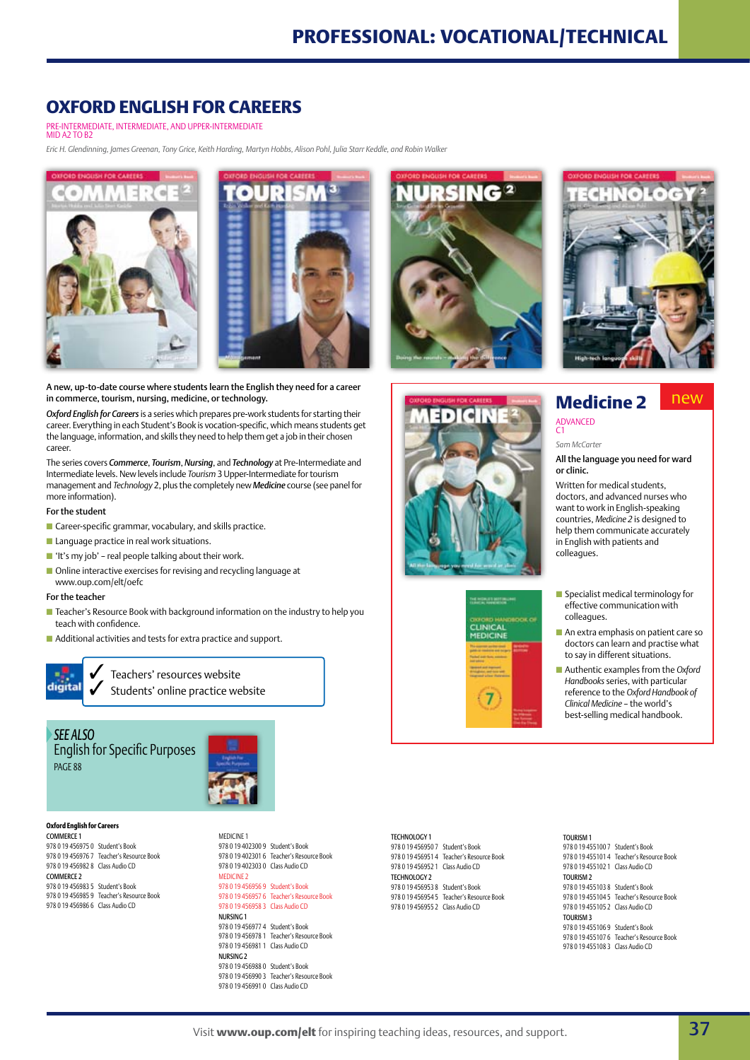**NURSING 2** 

## **Oxford English for Careers**

Pre-Intermediate, intermediate, and upper-intermediate

MID A<sub>2</sub> TO B<sub>2</sub>

*Eric H. Glendinning, James Greenan, Tony Grice, Keith Harding, Martyn Hobbs, Alison Pohl, Julia Starr Keddle, and Robin Walker*





A new, up-to-date course where students learn the English they need for a career in commerce, tourism, nursing, medicine, or technology.

*Oxford English for Careers* is a series which prepares pre-work students for starting their career. Everything in each Student's Book is vocation-specific, which means students get the language, information, and skills they need to help them get a job in their chosen career.

The series covers *Commerce*, *Tourism*, *Nursing*, and *Technology* at Pre-Intermediate and Intermediate levels. New levels include *Tourism* 3 Upper-Intermediate for tourism management and *Technology* 2, plus the completely new *Medicine* course (see panel for more information).

### For the student

- $\blacksquare$  Career-specific grammar, vocabulary, and skills practice.
- $\blacksquare$  Language practice in real work situations.
- $\blacksquare$  'It's my job' real people talking about their work.
- Online interactive exercises for revising and recycling language at www.oup.com/elt/oefc

### For the teacher

- Teacher's Resource Book with background information on the industry to help you teach with confidence.
- Additional activities and tests for extra practice and support.



Teachers' resources website Students' online practice website

*See also* English for Specific Purposes **PAGE 88** 



## **Oxford English for Careers**

Commerce 1 978 0 19 456975 0 Student's Book 978 0 19 456976 7 Teacher's Resource Book 978 0 19 456982 8 Class Audio CD COMMERCE 2 978 0 19 456983 5 Student's Book 978 0 19 456985 9 Teacher's Resource Book 978 0 19 456986 6 Class Audio CD

978 0 19 456988 0 Student's Book 978 0 19 456990 3 Teacher's Resource Book 978 0 19 456991 0 Class Audio CD

Technology 1 978 0 19 456950 7 Student's Book 978 0 19 456951 4 Teacher's Resource Book 978 0 19 456952 1 Class Audio CD TECHNOLOGY 2 978 0 19 456953 8 Student's Book 978 0 19 456954 5 Teacher's Resource Book 978 0 19 456955 2 Class Audio CD





## **Medicine 2** new

advanced

#### *Sam McCarter*

c1

#### All the language you need for ward or clinic.

**THOTO** 

Written for medical students, doctors, and advanced nurses who want to work in English-speaking countries, *Medicine 2* is designed to help them communicate accurately in English with patients and colleagues.

- **n** Specialist medical terminology for effective communication with colleagues.
- $\blacksquare$  An extra emphasis on patient care so doctors can learn and practise what to say in different situations.
- Authentic examples from the *Oxford Handbooks* series, with particular reference to the *Oxford Handbook of Clinical Medicine* – the world's best-selling medical handbook.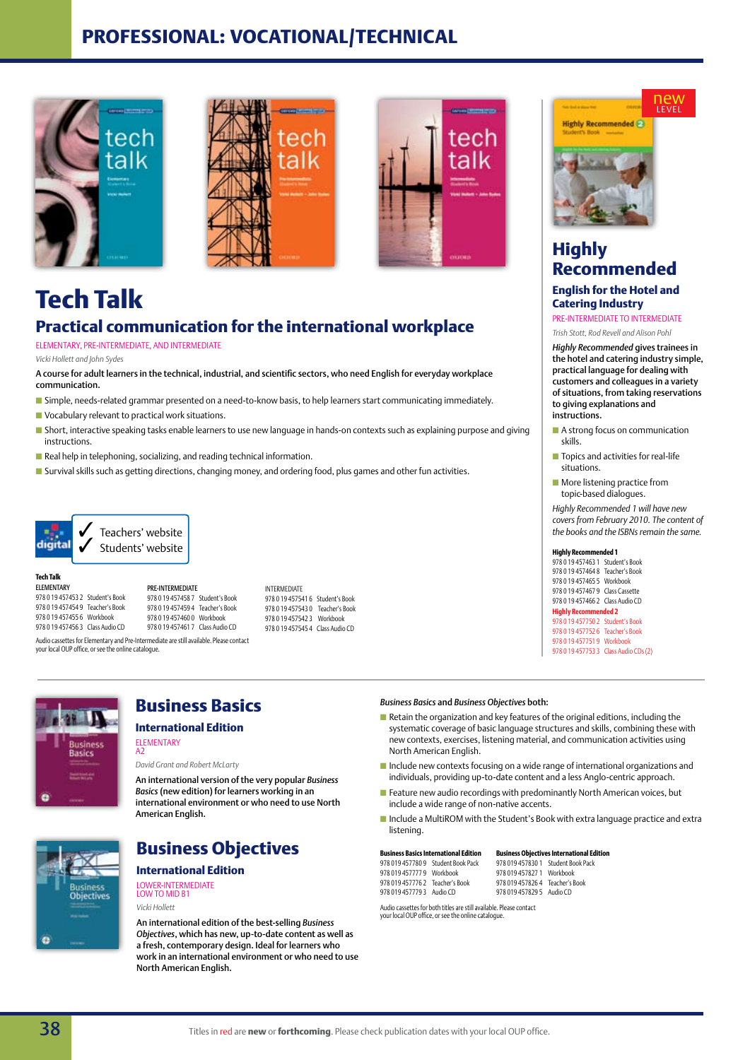## **Professional: vocational/technical**







## **Tech Talk Practical communication for the international workplace**

ELEMENTARY, PRE-INTERMEDIATE, and intermediate

*Vicki Hollett and John Sydes* 

A course for adult learners in the technical, industrial, and scientific sectors, who need English for everyday workplace communication.

- **n** Simple, needs-related grammar presented on a need-to-know basis, to help learners start communicating immediately.
- $\blacksquare$  Vocabulary relevant to practical work situations.
- **n** Short, interactive speaking tasks enable learners to use new language in hands-on contexts such as explaining purpose and giving instructions.

INTERMEDIATE

978 0 19 457541 6 Student's Book 978 0 19 457543 0 Teacher's Book 978 0 19 457542 3 Workbook 978 0 19 457545 4 Class Audio CD

- $\blacksquare$  Real help in telephoning, socializing, and reading technical information.
- **n** Survival skills such as getting directions, changing money, and ordering food, plus games and other fun activities.



**Tech Talk** Elementary

978 0 19 457453 2 Student's Book 978 0 19 457454 9 Teacher's Book 978 0 19 457455 6 Workbook 978 0 19 457456 3 Class Audio CD

Pre-Intermediate 978 0 19 457458 7 Student's Book 978 0 19 457459 4 Teacher's Book 978 0 19 457460 0 Workbook 978 0 19 457461 7 Class Audio CD

Audio cassettes for Elementary and Pre-Intermediate are still available. Please contact your local OUP office, or see the online catalogue.

A2





*David Grant and Robert McLarty*

An international version of the very popular *Business Basics* (new edition) for learners working in an international environment or who need to use North American English.



## **Business Objectives**

## **International Edition** Lower-Intermediate

Low to mid B1 *Vicki Hollett*

An international edition of the best-selling *Business Objectives*, which has new, up-to-date content as well as a fresh, contemporary design. Ideal for learners who work in an international environment or who need to use North American English.

## *Business Basics* and *Business Objectives* both:

- $\blacksquare$  Retain the organization and key features of the original editions, including the systematic coverage of basic language structures and skills, combining these with new contexts, exercises, listening material, and communication activities using North American English.
- $\blacksquare$  Include new contexts focusing on a wide range of international organizations and individuals, providing up-to-date content and a less Anglo-centric approach.
- $\blacksquare$  Feature new audio recordings with predominantly North American voices, but include a wide range of non-native accents.
- $\blacksquare$  Include a MultiROM with the Student's Book with extra language practice and extra listening.

|                                 | <b>Business Basics International Edition</b> | <b>Business Objectives International Edition</b> |                                    |  |
|---------------------------------|----------------------------------------------|--------------------------------------------------|------------------------------------|--|
|                                 | 978 019 457780 9 Student Book Pack           |                                                  | 978 019 457830 1 Student Book Pack |  |
| 978 019 457777 9 Workbook       |                                              | 978 019 457827 1 Workbook                        |                                    |  |
| 978 019 457776 2 Teacher's Book |                                              | 978 019 457826 4 Teacher's Book                  |                                    |  |
| 978 019 457779 3 Audio CD       |                                              | 978 019 457829 5 Audio CD                        |                                    |  |
|                                 |                                              |                                                  |                                    |  |

Audio cassettes for both titles are still available. Please contact your local OUP office, or see the online catalogue. 019 457829 5 Audio CD



**Highly Recommended P-**

new level

## **Highly Recommended**

## **English for the Hotel and Catering Industry**

pre-intermediate to INTERMEDIATE *Trish Stott, Rod Revell and Alison Pohl* 

*Highly Recommended* gives trainees in the hotel and catering industry simple, practical language for dealing with customers and colleagues in a variety

of situations, from taking reservations to giving explanations and instructions.

- $\blacksquare$  A strong focus on communication skills.
- $\blacksquare$  Topics and activities for real-life situations.
- $\blacksquare$  More listening practice from topic-based dialogues.

*Highly Recommended 1 will have new covers from February 2010. The content of the books and the ISBNs remain the same.*

### **Highly Recommended 1**

978 0 19 457463 1 Student's Book 978 0 19 457464 8 Teacher's Book 978 0 19 457465 5 Workbook 978 0 19 457467 9 Class Cassette 978 0 19 457466 2 Class Audio CD

#### **Highly Recommended 2** 978 0 19 457750 2 Student's Book

978 0 19 457752 6 Teacher's Book 978 0 19 457751 9 Workbook 978 0 19 457753 3 Class Audio CDs (2)